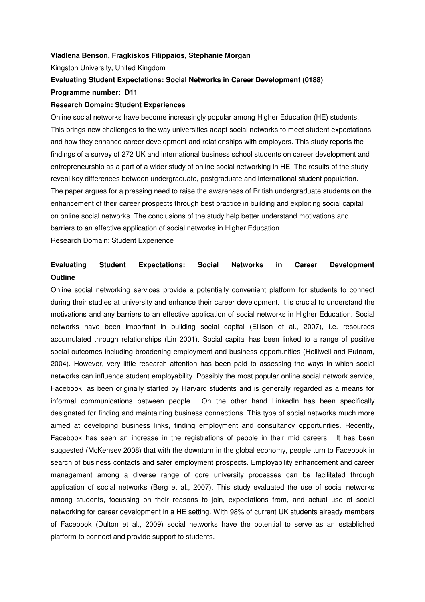#### **Vladlena Benson, Fragkiskos Filippaios, Stephanie Morgan**

Kingston University, United Kingdom

## **Evaluating Student Expectations: Social Networks in Career Development (0188) Programme number: D11**

### **Research Domain: Student Experiences**

Online social networks have become increasingly popular among Higher Education (HE) students. This brings new challenges to the way universities adapt social networks to meet student expectations and how they enhance career development and relationships with employers. This study reports the findings of a survey of 272 UK and international business school students on career development and entrepreneurship as a part of a wider study of online social networking in HE. The results of the study reveal key differences between undergraduate, postgraduate and international student population. The paper argues for a pressing need to raise the awareness of British undergraduate students on the enhancement of their career prospects through best practice in building and exploiting social capital on online social networks. The conclusions of the study help better understand motivations and barriers to an effective application of social networks in Higher Education.

Research Domain: Student Experience

# **Evaluating Student Expectations: Social Networks in Career Development Outline**

Online social networking services provide a potentially convenient platform for students to connect during their studies at university and enhance their career development. It is crucial to understand the motivations and any barriers to an effective application of social networks in Higher Education. Social networks have been important in building social capital (Ellison et al., 2007), i.e. resources accumulated through relationships (Lin 2001). Social capital has been linked to a range of positive social outcomes including broadening employment and business opportunities (Helliwell and Putnam, 2004). However, very little research attention has been paid to assessing the ways in which social networks can influence student employability. Possibly the most popular online social network service, Facebook, as been originally started by Harvard students and is generally regarded as a means for informal communications between people. On the other hand LinkedIn has been specifically designated for finding and maintaining business connections. This type of social networks much more aimed at developing business links, finding employment and consultancy opportunities. Recently, Facebook has seen an increase in the registrations of people in their mid careers. It has been suggested (McKensey 2008) that with the downturn in the global economy, people turn to Facebook in search of business contacts and safer employment prospects. Employability enhancement and career management among a diverse range of core university processes can be facilitated through application of social networks (Berg et al., 2007). This study evaluated the use of social networks among students, focussing on their reasons to join, expectations from, and actual use of social networking for career development in a HE setting. With 98% of current UK students already members of Facebook (Dulton et al., 2009) social networks have the potential to serve as an established platform to connect and provide support to students.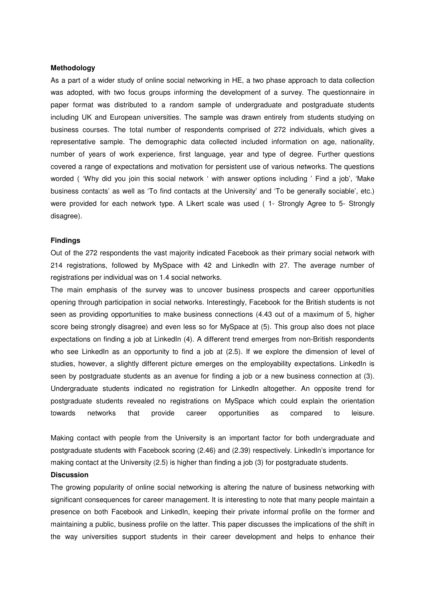### **Methodology**

As a part of a wider study of online social networking in HE, a two phase approach to data collection was adopted, with two focus groups informing the development of a survey. The questionnaire in paper format was distributed to a random sample of undergraduate and postgraduate students including UK and European universities. The sample was drawn entirely from students studying on business courses. The total number of respondents comprised of 272 individuals, which gives a representative sample. The demographic data collected included information on age, nationality, number of years of work experience, first language, year and type of degree. Further questions covered a range of expectations and motivation for persistent use of various networks. The questions worded ( 'Why did you join this social network ' with answer options including ' Find a job', 'Make business contacts' as well as 'To find contacts at the University' and 'To be generally sociable', etc.) were provided for each network type. A Likert scale was used ( 1- Strongly Agree to 5- Strongly disagree).

#### **Findings**

Out of the 272 respondents the vast majority indicated Facebook as their primary social network with 214 registrations, followed by MySpace with 42 and LinkedIn with 27. The average number of registrations per individual was on 1.4 social networks.

The main emphasis of the survey was to uncover business prospects and career opportunities opening through participation in social networks. Interestingly, Facebook for the British students is not seen as providing opportunities to make business connections (4.43 out of a maximum of 5, higher score being strongly disagree) and even less so for MySpace at (5). This group also does not place expectations on finding a job at LinkedIn (4). A different trend emerges from non-British respondents who see LinkedIn as an opportunity to find a job at (2.5). If we explore the dimension of level of studies, however, a slightly different picture emerges on the employability expectations. LinkedIn is seen by postgraduate students as an avenue for finding a job or a new business connection at (3). Undergraduate students indicated no registration for LinkedIn altogether. An opposite trend for postgraduate students revealed no registrations on MySpace which could explain the orientation towards networks that provide career opportunities as compared to leisure.

Making contact with people from the University is an important factor for both undergraduate and postgraduate students with Facebook scoring (2.46) and (2.39) respectively. LinkedIn's importance for making contact at the University (2.5) is higher than finding a job (3) for postgraduate students.

#### **Discussion**

The growing popularity of online social networking is altering the nature of business networking with significant consequences for career management. It is interesting to note that many people maintain a presence on both Facebook and LinkedIn, keeping their private informal profile on the former and maintaining a public, business profile on the latter. This paper discusses the implications of the shift in the way universities support students in their career development and helps to enhance their